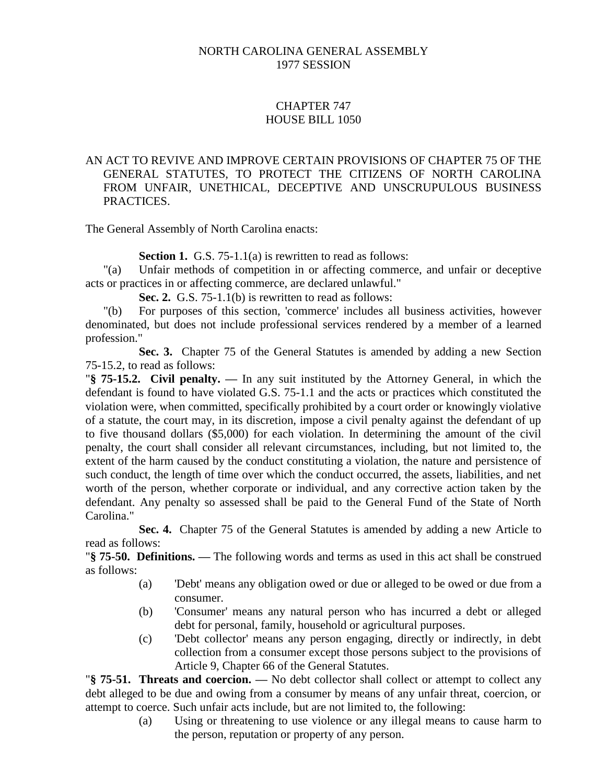#### NORTH CAROLINA GENERAL ASSEMBLY 1977 SESSION

## CHAPTER 747 HOUSE BILL 1050

#### AN ACT TO REVIVE AND IMPROVE CERTAIN PROVISIONS OF CHAPTER 75 OF THE GENERAL STATUTES, TO PROTECT THE CITIZENS OF NORTH CAROLINA FROM UNFAIR, UNETHICAL, DECEPTIVE AND UNSCRUPULOUS BUSINESS PRACTICES.

The General Assembly of North Carolina enacts:

**Section 1.** G.S. 75-1.1(a) is rewritten to read as follows:

"(a) Unfair methods of competition in or affecting commerce, and unfair or deceptive acts or practices in or affecting commerce, are declared unlawful."

**Sec. 2.** G.S. 75-1.1(b) is rewritten to read as follows:

"(b) For purposes of this section, 'commerce' includes all business activities, however denominated, but does not include professional services rendered by a member of a learned profession."

**Sec. 3.** Chapter 75 of the General Statutes is amended by adding a new Section 75-15.2, to read as follows:

"**§ 75-15.2. Civil penalty. —** In any suit instituted by the Attorney General, in which the defendant is found to have violated G.S. 75-1.1 and the acts or practices which constituted the violation were, when committed, specifically prohibited by a court order or knowingly violative of a statute, the court may, in its discretion, impose a civil penalty against the defendant of up to five thousand dollars (\$5,000) for each violation. In determining the amount of the civil penalty, the court shall consider all relevant circumstances, including, but not limited to, the extent of the harm caused by the conduct constituting a violation, the nature and persistence of such conduct, the length of time over which the conduct occurred, the assets, liabilities, and net worth of the person, whether corporate or individual, and any corrective action taken by the defendant. Any penalty so assessed shall be paid to the General Fund of the State of North Carolina."

**Sec. 4.** Chapter 75 of the General Statutes is amended by adding a new Article to read as follows:

"**§ 75-50. Definitions. —** The following words and terms as used in this act shall be construed as follows:

- (a) 'Debt' means any obligation owed or due or alleged to be owed or due from a consumer.
- (b) 'Consumer' means any natural person who has incurred a debt or alleged debt for personal, family, household or agricultural purposes.
- (c) 'Debt collector' means any person engaging, directly or indirectly, in debt collection from a consumer except those persons subject to the provisions of Article 9, Chapter 66 of the General Statutes.

"**§ 75-51. Threats and coercion. —** No debt collector shall collect or attempt to collect any debt alleged to be due and owing from a consumer by means of any unfair threat, coercion, or attempt to coerce. Such unfair acts include, but are not limited to, the following:

> (a) Using or threatening to use violence or any illegal means to cause harm to the person, reputation or property of any person.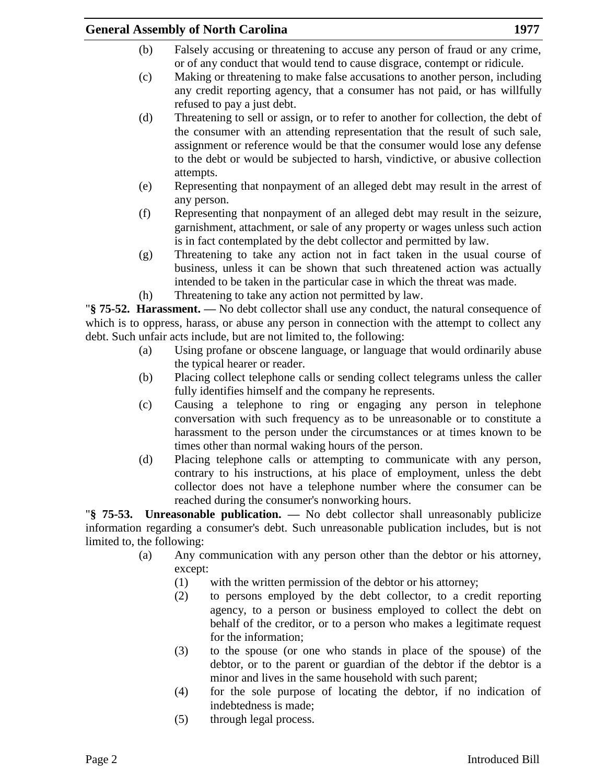# **General Assembly of North Carolina 1977**

- (b) Falsely accusing or threatening to accuse any person of fraud or any crime, or of any conduct that would tend to cause disgrace, contempt or ridicule.
- (c) Making or threatening to make false accusations to another person, including any credit reporting agency, that a consumer has not paid, or has willfully refused to pay a just debt.
- (d) Threatening to sell or assign, or to refer to another for collection, the debt of the consumer with an attending representation that the result of such sale, assignment or reference would be that the consumer would lose any defense to the debt or would be subjected to harsh, vindictive, or abusive collection attempts.
- (e) Representing that nonpayment of an alleged debt may result in the arrest of any person.
- (f) Representing that nonpayment of an alleged debt may result in the seizure, garnishment, attachment, or sale of any property or wages unless such action is in fact contemplated by the debt collector and permitted by law.
- (g) Threatening to take any action not in fact taken in the usual course of business, unless it can be shown that such threatened action was actually intended to be taken in the particular case in which the threat was made.
- (h) Threatening to take any action not permitted by law.

"**§ 75-52. Harassment. —** No debt collector shall use any conduct, the natural consequence of which is to oppress, harass, or abuse any person in connection with the attempt to collect any debt. Such unfair acts include, but are not limited to, the following:

- (a) Using profane or obscene language, or language that would ordinarily abuse the typical hearer or reader.
- (b) Placing collect telephone calls or sending collect telegrams unless the caller fully identifies himself and the company he represents.
- (c) Causing a telephone to ring or engaging any person in telephone conversation with such frequency as to be unreasonable or to constitute a harassment to the person under the circumstances or at times known to be times other than normal waking hours of the person.
- (d) Placing telephone calls or attempting to communicate with any person, contrary to his instructions, at his place of employment, unless the debt collector does not have a telephone number where the consumer can be reached during the consumer's nonworking hours.

"**§ 75-53. Unreasonable publication. —** No debt collector shall unreasonably publicize information regarding a consumer's debt. Such unreasonable publication includes, but is not limited to, the following:

- (a) Any communication with any person other than the debtor or his attorney, except:
	- (1) with the written permission of the debtor or his attorney;
	- (2) to persons employed by the debt collector, to a credit reporting agency, to a person or business employed to collect the debt on behalf of the creditor, or to a person who makes a legitimate request for the information;
	- (3) to the spouse (or one who stands in place of the spouse) of the debtor, or to the parent or guardian of the debtor if the debtor is a minor and lives in the same household with such parent;
	- (4) for the sole purpose of locating the debtor, if no indication of indebtedness is made;
	- (5) through legal process.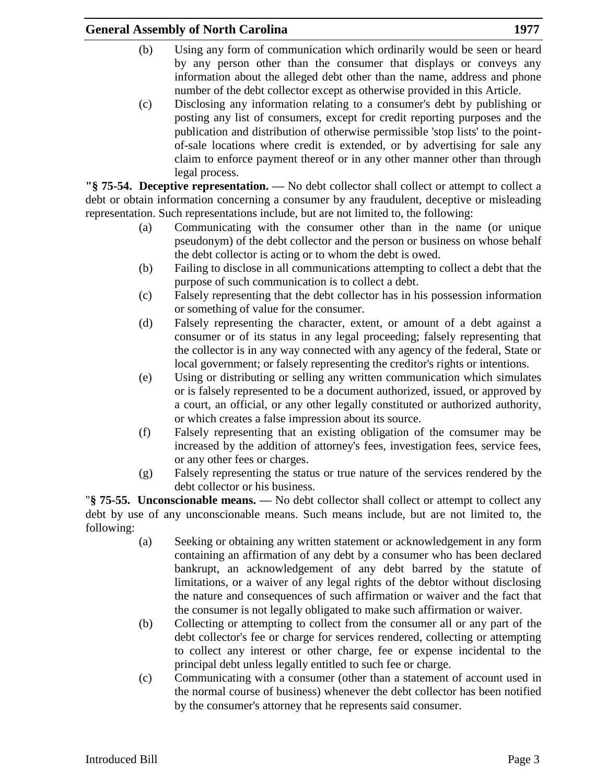# **General Assembly of North Carolina 1977**

- (b) Using any form of communication which ordinarily would be seen or heard by any person other than the consumer that displays or conveys any information about the alleged debt other than the name, address and phone number of the debt collector except as otherwise provided in this Article.
- (c) Disclosing any information relating to a consumer's debt by publishing or posting any list of consumers, except for credit reporting purposes and the publication and distribution of otherwise permissible 'stop lists' to the pointof-sale locations where credit is extended, or by advertising for sale any claim to enforce payment thereof or in any other manner other than through legal process.

**"§ 75-54. Deceptive representation. —** No debt collector shall collect or attempt to collect a debt or obtain information concerning a consumer by any fraudulent, deceptive or misleading representation. Such representations include, but are not limited to, the following:

- (a) Communicating with the consumer other than in the name (or unique pseudonym) of the debt collector and the person or business on whose behalf the debt collector is acting or to whom the debt is owed.
- (b) Failing to disclose in all communications attempting to collect a debt that the purpose of such communication is to collect a debt.
- (c) Falsely representing that the debt collector has in his possession information or something of value for the consumer.
- (d) Falsely representing the character, extent, or amount of a debt against a consumer or of its status in any legal proceeding; falsely representing that the collector is in any way connected with any agency of the federal, State or local government; or falsely representing the creditor's rights or intentions.
- (e) Using or distributing or selling any written communication which simulates or is falsely represented to be a document authorized, issued, or approved by a court, an official, or any other legally constituted or authorized authority, or which creates a false impression about its source.
- (f) Falsely representing that an existing obligation of the comsumer may be increased by the addition of attorney's fees, investigation fees, service fees, or any other fees or charges.
- (g) Falsely representing the status or true nature of the services rendered by the debt collector or his business.

"**§ 75-55. Unconscionable means. —** No debt collector shall collect or attempt to collect any debt by use of any unconscionable means. Such means include, but are not limited to, the following:

- (a) Seeking or obtaining any written statement or acknowledgement in any form containing an affirmation of any debt by a consumer who has been declared bankrupt, an acknowledgement of any debt barred by the statute of limitations, or a waiver of any legal rights of the debtor without disclosing the nature and consequences of such affirmation or waiver and the fact that the consumer is not legally obligated to make such affirmation or waiver.
- (b) Collecting or attempting to collect from the consumer all or any part of the debt collector's fee or charge for services rendered, collecting or attempting to collect any interest or other charge, fee or expense incidental to the principal debt unless legally entitled to such fee or charge.
- (c) Communicating with a consumer (other than a statement of account used in the normal course of business) whenever the debt collector has been notified by the consumer's attorney that he represents said consumer.